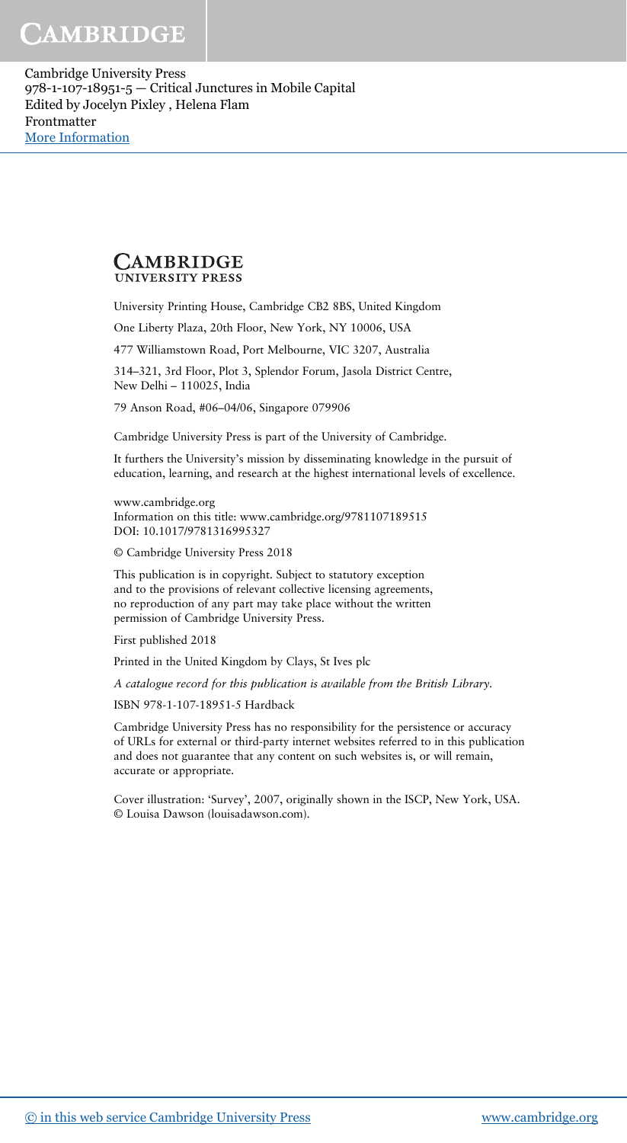Cambridge University Press 978-1-107-18951-5 — Critical Junctures in Mobile Capital Edited by Jocelyn Pixley , Helena Flam Frontmatter [More Information](www.cambridge.org/9781107189515)

#### CAMBRIDGE **UNIVERSITY PRESS**

University Printing House, Cambridge CB2 8BS, United Kingdom

One Liberty Plaza, 20th Floor, New York, NY 10006, USA

477 Williamstown Road, Port Melbourne, VIC 3207, Australia

314–321, 3rd Floor, Plot 3, Splendor Forum, Jasola District Centre, New Delhi – 110025, India

79 Anson Road, #06–04/06, Singapore 079906

Cambridge University Press is part of the University of Cambridge.

It furthers the University's mission by disseminating knowledge in the pursuit of education, learning, and research at the highest international levels of excellence.

www.cambridge.org Information on this title: www.cambridge.org/9781107189515 DOI: 10.1017/9781316995327

© Cambridge University Press 2018

This publication is in copyright. Subject to statutory exception and to the provisions of relevant collective licensing agreements, no reproduction of any part may take place without the written permission of Cambridge University Press.

First published 2018

Printed in the United Kingdom by Clays, St Ives plc

A catalogue record for this publication is available from the British Library.

ISBN 978-1-107-18951-5 Hardback

Cambridge University Press has no responsibility for the persistence or accuracy of URLs for external or third-party internet websites referred to in this publication and does not guarantee that any content on such websites is, or will remain, accurate or appropriate.

Cover illustration: 'Survey', 2007, originally shown in the ISCP, New York, USA. © Louisa Dawson (louisadawson.com).

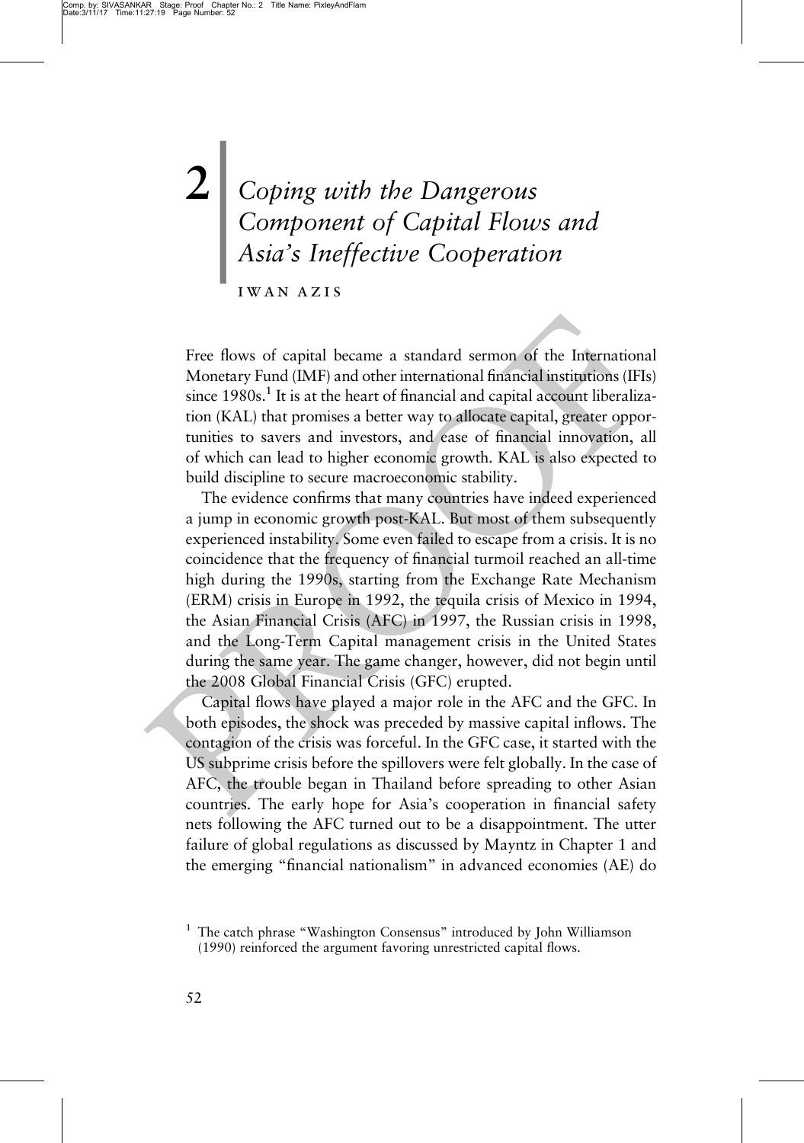# | Coping with the Dangerous Component of Capital Flows and Asia's Ineffective Cooperation

iwan azis

Free flows of capital became a standard sermon of the International Monetary Fund (IMF) and other international financial institutions (IFIs) since  $1980s<sup>1</sup>$  It is at the heart of financial and capital account liberalization (KAL) that promises a better way to allocate capital, greater opportunities to savers and investors, and ease of financial innovation, all of which can lead to higher economic growth. KAL is also expected to build discipline to secure macroeconomic stability.

The evidence confirms that many countries have indeed experienced a jump in economic growth post-KAL. But most of them subsequently experienced instability. Some even failed to escape from a crisis. It is no coincidence that the frequency of financial turmoil reached an all-time high during the 1990s, starting from the Exchange Rate Mechanism (ERM) crisis in Europe in 1992, the tequila crisis of Mexico in 1994, the Asian Financial Crisis (AFC) in 1997, the Russian crisis in 1998, and the Long-Term Capital management crisis in the United States during the same year. The game changer, however, did not begin until the 2008 Global Financial Crisis (GFC) erupted.

Capital flows have played a major role in the AFC and the GFC. In both episodes, the shock was preceded by massive capital inflows. The contagion of the crisis was forceful. In the GFC case, it started with the US subprime crisis before the spillovers were felt globally. In the case of AFC, the trouble began in Thailand before spreading to other Asian countries. The early hope for Asia's cooperation in financial safety nets following the AFC turned out to be a disappointment. The utter failure of global regulations as discussed by Mayntz in Chapter 1 and the emerging "financial nationalism" in advanced economies (AE) do

<sup>&</sup>lt;sup>1</sup> The catch phrase "Washington Consensus" introduced by John Williamson (1990) reinforced the argument favoring unrestricted capital flows.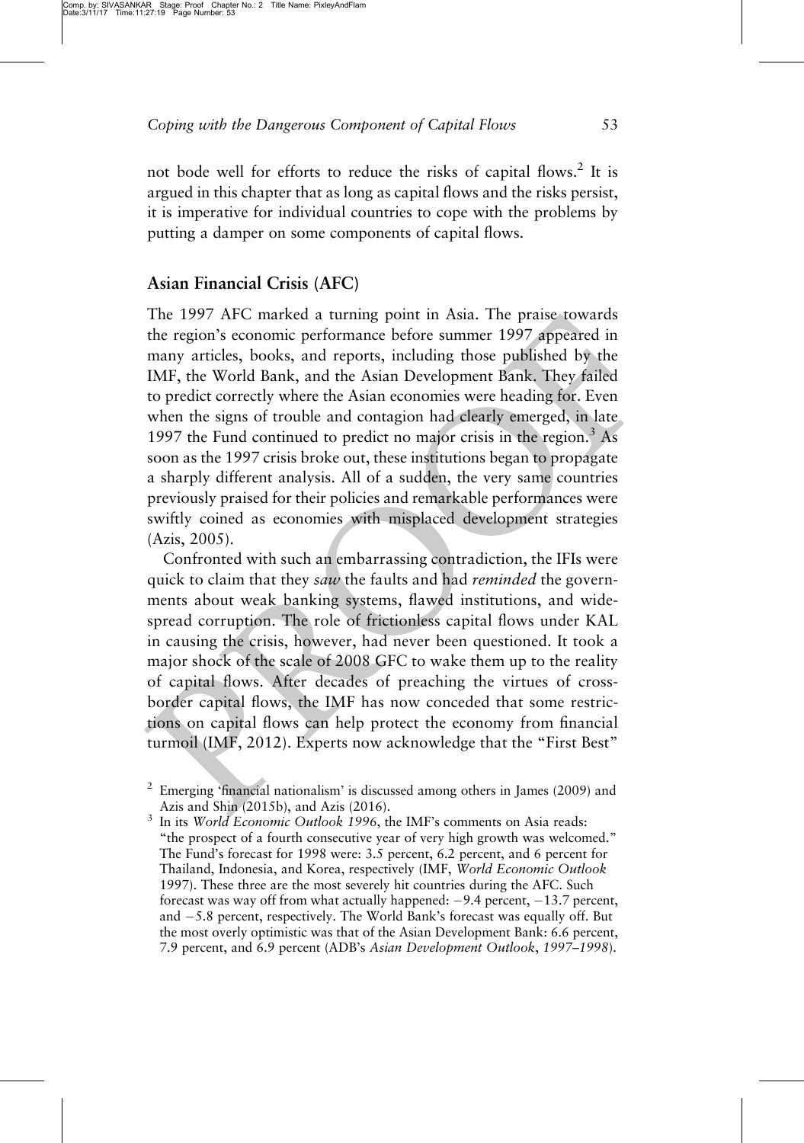not bode well for efforts to reduce the risks of capital flows.<sup>2</sup> It is argued in this chapter that as long as capital flows and the risks persist, it is imperative for individual countries to cope with the problems by putting a damper on some components of capital flows.

## $\mathcal{A} = \mathcal{A}$

The 1997 AFC marked a turning point in Asia. The praise towards the region's economic performance before summer 1997 appeared in many articles, books, and reports, including those published by the IMF, the World Bank, and the Asian Development Bank. They failed to predict correctly where the Asian economies were heading for. Even when the signs of trouble and contagion had clearly emerged, in late 1997 the Fund continued to predict no major crisis in the region.<sup>3</sup> As soon as the 1997 crisis broke out, these institutions began to propagate a sharply different analysis. All of a sudden, the very same countries previously praised for their policies and remarkable performances were swiftly coined as economies with misplaced development strategies (Azis, 2005).

Confronted with such an embarrassing contradiction, the IFIs were quick to claim that they saw the faults and had *reminded* the governments about weak banking systems, flawed institutions, and widespread corruption. The role of frictionless capital flows under KAL in causing the crisis, however, had never been questioned. It took a major shock of the scale of 2008 GFC to wake them up to the reality of capital flows. After decades of preaching the virtues of crossborder capital flows, the IMF has now conceded that some restrictions on capital flows can help protect the economy from financial turmoil (IMF, 2012). Experts now acknowledge that the "First Best"

 $2$  Emerging 'financial nationalism' is discussed among others in James (2009) and

Azis and Shin (2015b), and Azis (2016).  $\frac{3}{10}$  In its World Economic Outlook 1996, the IMF's comments on Asia reads: "the prospect of a fourth consecutive year of very high growth was welcomed." The Fund's forecast for 1998 were: 3.5 percent, 6.2 percent, and 6 percent for Thailand, Indonesia, and Korea, respectively (IMF, World Economic Outlook 1997). These three are the most severely hit countries during the AFC. Such forecast was way off from what actually happened:  $-9.4$  percent,  $-13.7$  percent, and  $-5.8$  percent, respectively. The World Bank's forecast was equally off. But the most overly optimistic was that of the Asian Development Bank: 6.6 percent, 7.9 percent, and 6.9 percent (ADB's Asian Development Outlook, 1997–1998).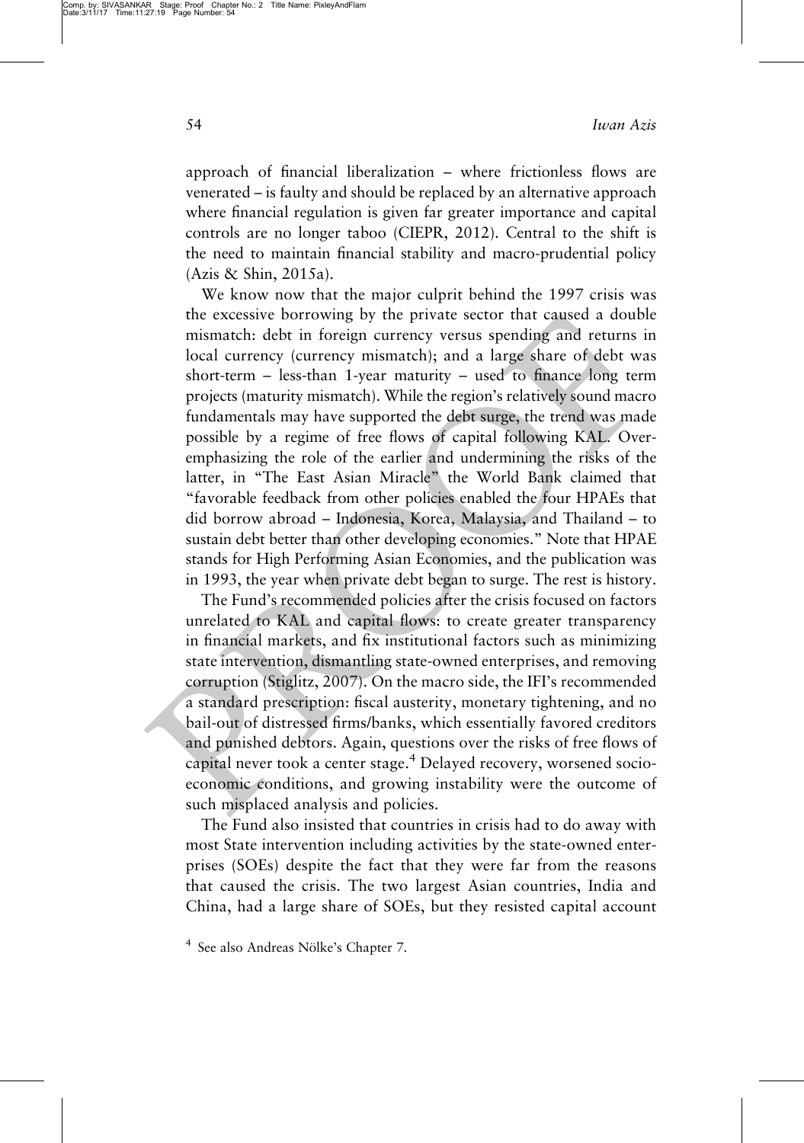approach of financial liberalization – where frictionless flows are venerated – is faulty and should be replaced by an alternative approach where financial regulation is given far greater importance and capital controls are no longer taboo (CIEPR, 2012). Central to the shift is the need to maintain financial stability and macro-prudential policy (Azis & Shin, 2015a).

We know now that the major culprit behind the 1997 crisis was the excessive borrowing by the private sector that caused a double mismatch: debt in foreign currency versus spending and returns in local currency (currency mismatch); and a large share of debt was short-term – less-than 1-year maturity – used to finance long term projects (maturity mismatch). While the region's relatively sound macro fundamentals may have supported the debt surge, the trend was made possible by a regime of free flows of capital following KAL. Overemphasizing the role of the earlier and undermining the risks of the latter, in "The East Asian Miracle" the World Bank claimed that "favorable feedback from other policies enabled the four HPAEs that did borrow abroad – Indonesia, Korea, Malaysia, and Thailand – to sustain debt better than other developing economies." Note that HPAE stands for High Performing Asian Economies, and the publication was in 1993, the year when private debt began to surge. The rest is history.

The Fund's recommended policies after the crisis focused on factors unrelated to KAL and capital flows: to create greater transparency in financial markets, and fix institutional factors such as minimizing state intervention, dismantling state-owned enterprises, and removing corruption (Stiglitz, 2007). On the macro side, the IFI's recommended a standard prescription: fiscal austerity, monetary tightening, and no bail-out of distressed firms/banks, which essentially favored creditors and punished debtors. Again, questions over the risks of free flows of capital never took a center stage.<sup>4</sup> Delayed recovery, worsened socioeconomic conditions, and growing instability were the outcome of such misplaced analysis and policies.

The Fund also insisted that countries in crisis had to do away with most State intervention including activities by the state-owned enterprises (SOEs) despite the fact that they were far from the reasons that caused the crisis. The two largest Asian countries, India and China, had a large share of SOEs, but they resisted capital account

<sup>4</sup> See also Andreas Nölke's Chapter 7.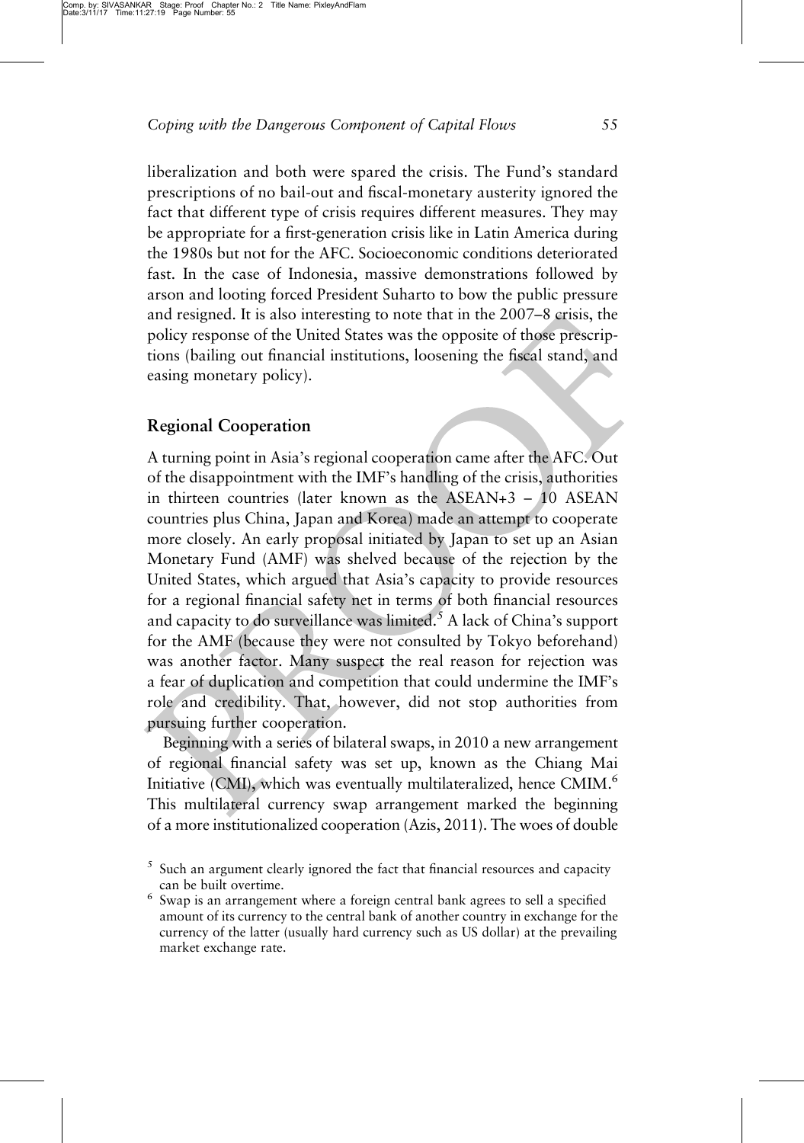liberalization and both were spared the crisis. The Fund's standard prescriptions of no bail-out and fiscal-monetary austerity ignored the fact that different type of crisis requires different measures. They may be appropriate for a first-generation crisis like in Latin America during the 1980s but not for the AFC. Socioeconomic conditions deteriorated fast. In the case of Indonesia, massive demonstrations followed by arson and looting forced President Suharto to bow the public pressure and resigned. It is also interesting to note that in the 2007–8 crisis, the policy response of the United States was the opposite of those prescriptions (bailing out financial institutions, loosening the fiscal stand, and easing monetary policy).

### $\mathcal{C}_{\mathcal{O}}$  contains  $\mathbf{r}$  and  $\mathbf{r}$

A turning point in Asia's regional cooperation came after the AFC. Out of the disappointment with the IMF's handling of the crisis, authorities in thirteen countries (later known as the ASEAN+3 – 10 ASEAN countries plus China, Japan and Korea) made an attempt to cooperate more closely. An early proposal initiated by Japan to set up an Asian Monetary Fund (AMF) was shelved because of the rejection by the United States, which argued that Asia's capacity to provide resources for a regional financial safety net in terms of both financial resources and capacity to do surveillance was limited.<sup>5</sup> A lack of China's support for the AMF (because they were not consulted by Tokyo beforehand) was another factor. Many suspect the real reason for rejection was a fear of duplication and competition that could undermine the IMF's role and credibility. That, however, did not stop authorities from pursuing further cooperation.

Beginning with a series of bilateral swaps, in 2010 a new arrangement of regional financial safety was set up, known as the Chiang Mai Initiative (CMI), which was eventually multilateralized, hence CMIM.6 This multilateral currency swap arrangement marked the beginning of a more institutionalized cooperation (Azis, 2011). The woes of double

 $5$  Such an argument clearly ignored the fact that financial resources and capacity

<sup>%</sup> can be built overtime.  $\epsilon$  Swap is an arrangement where a foreign central bank agrees to sell a specified amount of its currency to the central bank of another country in exchange for the currency of the latter (usually hard currency such as US dollar) at the prevailing market exchange rate.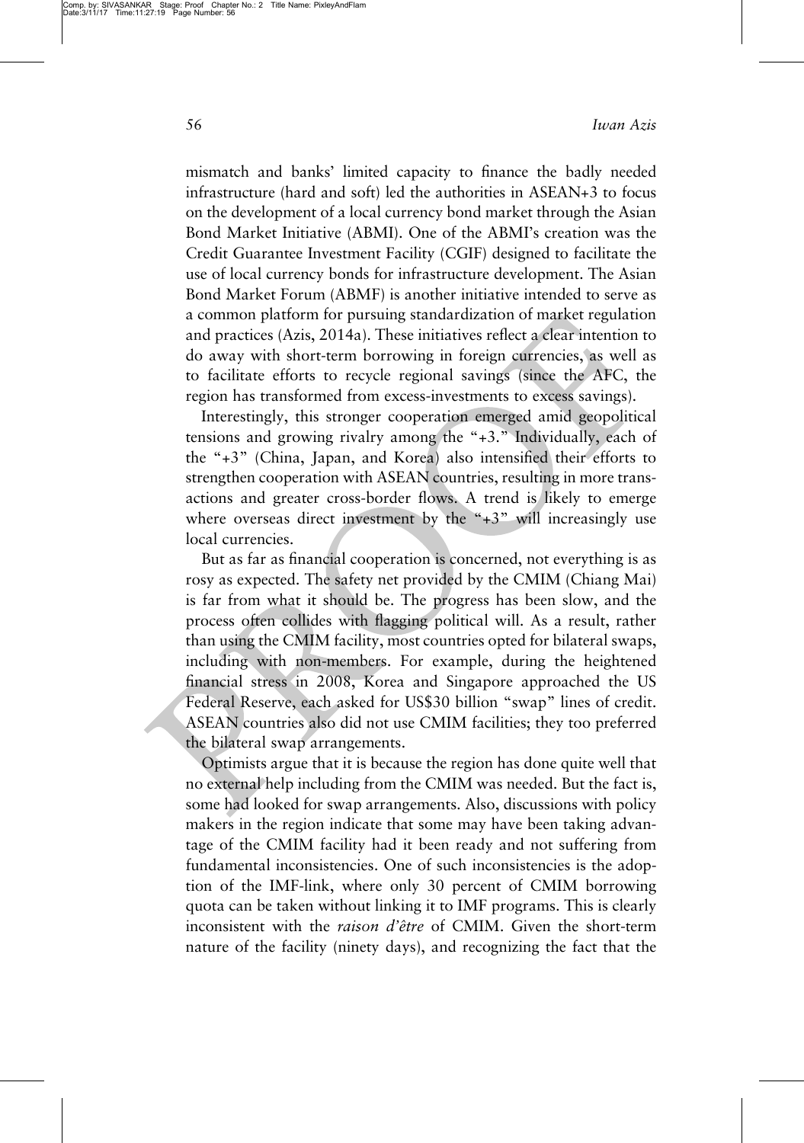56 Iwan Azis

mismatch and banks' limited capacity to finance the badly needed infrastructure (hard and soft) led the authorities in ASEAN+3 to focus on the development of a local currency bond market through the Asian Bond Market Initiative (ABMI). One of the ABMI's creation was the Credit Guarantee Investment Facility (CGIF) designed to facilitate the use of local currency bonds for infrastructure development. The Asian Bond Market Forum (ABMF) is another initiative intended to serve as a common platform for pursuing standardization of market regulation and practices (Azis, 2014a). These initiatives reflect a clear intention to do away with short-term borrowing in foreign currencies, as well as to facilitate efforts to recycle regional savings (since the AFC, the region has transformed from excess-investments to excess savings).

Interestingly, this stronger cooperation emerged amid geopolitical tensions and growing rivalry among the "+3." Individually, each of the "+3" (China, Japan, and Korea) also intensified their efforts to strengthen cooperation with ASEAN countries, resulting in more transactions and greater cross-border flows. A trend is likely to emerge where overseas direct investment by the "+3" will increasingly use local currencies.

But as far as financial cooperation is concerned, not everything is as rosy as expected. The safety net provided by the CMIM (Chiang Mai) is far from what it should be. The progress has been slow, and the process often collides with flagging political will. As a result, rather than using the CMIM facility, most countries opted for bilateral swaps, including with non-members. For example, during the heightened financial stress in 2008, Korea and Singapore approached the US Federal Reserve, each asked for US\$30 billion "swap" lines of credit. ASEAN countries also did not use CMIM facilities; they too preferred the bilateral swap arrangements.

Optimists argue that it is because the region has done quite well that no external help including from the CMIM was needed. But the fact is, some had looked for swap arrangements. Also, discussions with policy makers in the region indicate that some may have been taking advantage of the CMIM facility had it been ready and not suffering from fundamental inconsistencies. One of such inconsistencies is the adoption of the IMF-link, where only 30 percent of CMIM borrowing quota can be taken without linking it to IMF programs. This is clearly inconsistent with the raison d'être of CMIM. Given the short-term nature of the facility (ninety days), and recognizing the fact that the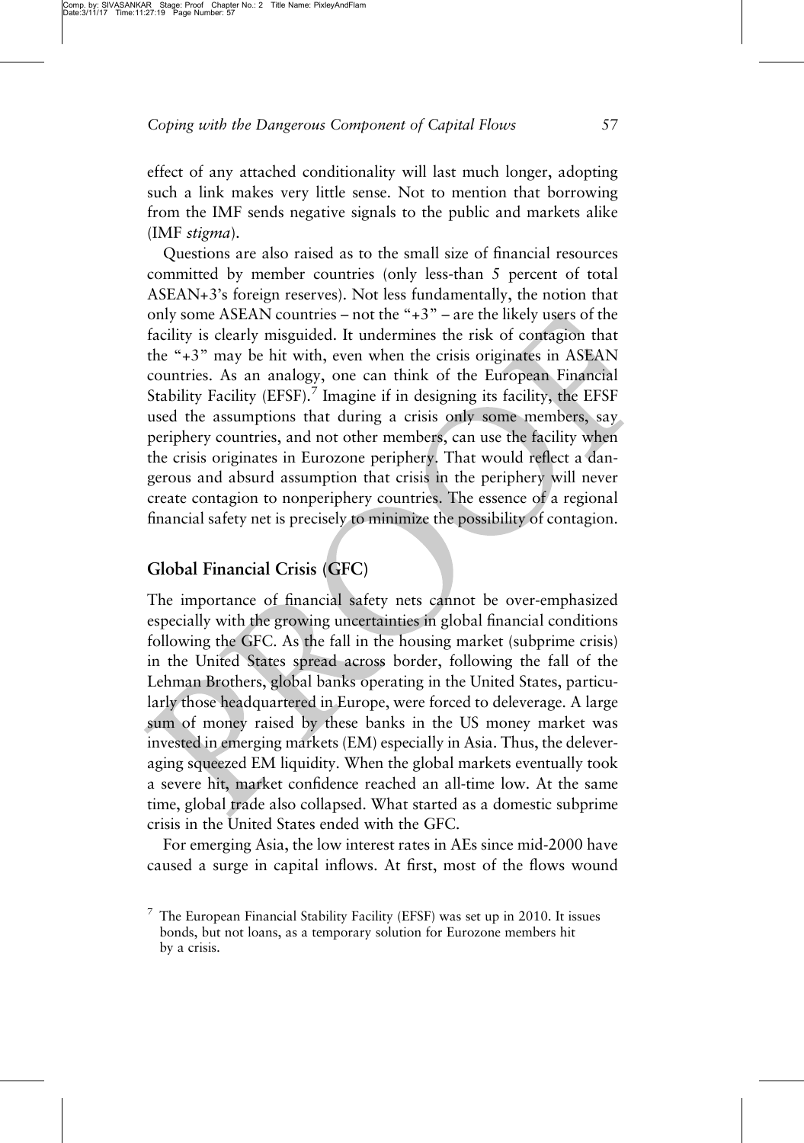effect of any attached conditionality will last much longer, adopting such a link makes very little sense. Not to mention that borrowing from the IMF sends negative signals to the public and markets alike (IMF stigma).

Questions are also raised as to the small size of financial resources committed by member countries (only less-than 5 percent of total ASEAN+3's foreign reserves). Not less fundamentally, the notion that only some ASEAN countries – not the "+3" – are the likely users of the facility is clearly misguided. It undermines the risk of contagion that the "+3" may be hit with, even when the crisis originates in ASEAN countries. As an analogy, one can think of the European Financial Stability Facility  $(EFSF)$ .<sup>7</sup> Imagine if in designing its facility, the EFSF used the assumptions that during a crisis only some members, say periphery countries, and not other members, can use the facility when the crisis originates in Eurozone periphery. That would reflect a dangerous and absurd assumption that crisis in the periphery will never create contagion to nonperiphery countries. The essence of a regional financial safety net is precisely to minimize the possibility of contagion.

### $G$  Financial Financial Crisis (GFC)

The importance of financial safety nets cannot be over-emphasized especially with the growing uncertainties in global financial conditions following the GFC. As the fall in the housing market (subprime crisis) in the United States spread across border, following the fall of the Lehman Brothers, global banks operating in the United States, particularly those headquartered in Europe, were forced to deleverage. A large sum of money raised by these banks in the US money market was invested in emerging markets (EM) especially in Asia. Thus, the deleveraging squeezed EM liquidity. When the global markets eventually took a severe hit, market confidence reached an all-time low. At the same time, global trade also collapsed. What started as a domestic subprime crisis in the United States ended with the GFC.

For emerging Asia, the low interest rates in AEs since mid-2000 have caused a surge in capital inflows. At first, most of the flows wound

 $7$  The European Financial Stability Facility (EFSF) was set up in 2010. It issues bonds, but not loans, as a temporary solution for Eurozone members hit by a crisis.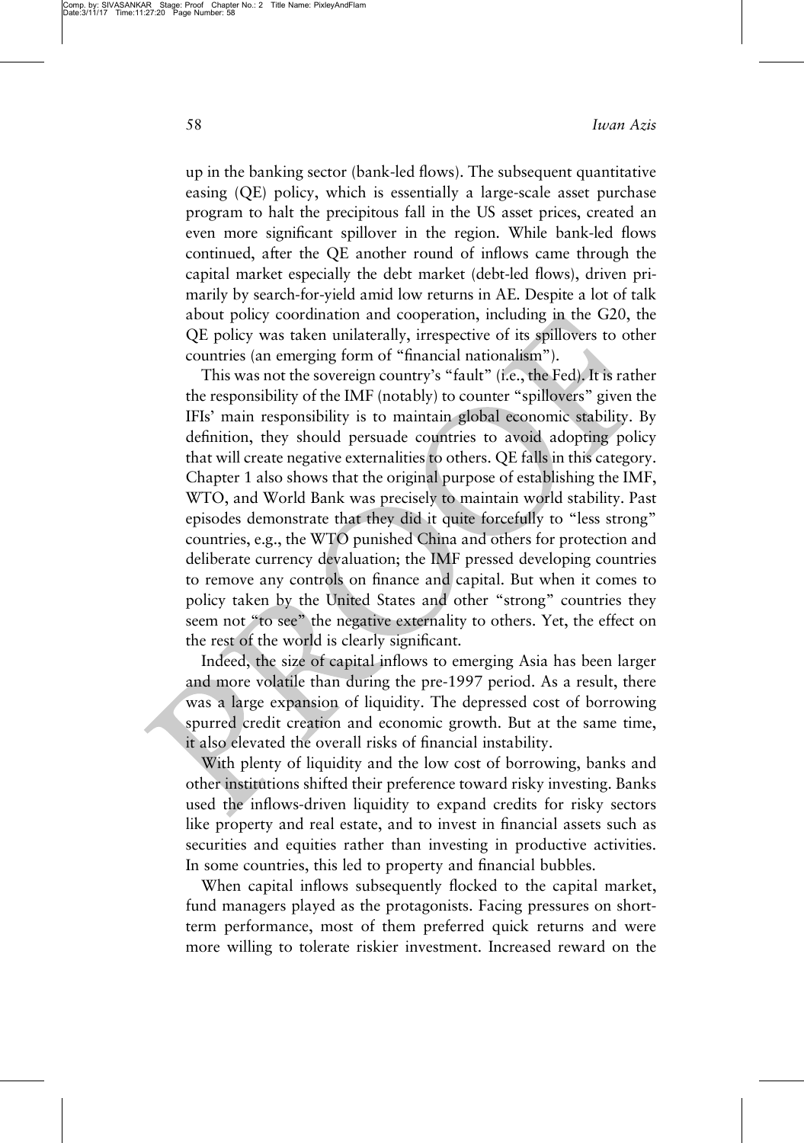Comp. by: SIVASANKAR Stage: Proof Chapter No.: 2 Title Name: PixleyAndFlam Date:3/11/17 Time:11:27:20 Page Number: 58

up in the banking sector (bank-led flows). The subsequent quantitative easing (QE) policy, which is essentially a large-scale asset purchase program to halt the precipitous fall in the US asset prices, created an even more significant spillover in the region. While bank-led flows continued, after the QE another round of inflows came through the capital market especially the debt market (debt-led flows), driven primarily by search-for-yield amid low returns in AE. Despite a lot of talk about policy coordination and cooperation, including in the G20, the QE policy was taken unilaterally, irrespective of its spillovers to other countries (an emerging form of "financial nationalism").

This was not the sovereign country's "fault" (i.e., the Fed). It is rather the responsibility of the IMF (notably) to counter "spillovers" given the IFIs' main responsibility is to maintain global economic stability. By definition, they should persuade countries to avoid adopting policy that will create negative externalities to others. QE falls in this category. Chapter 1 also shows that the original purpose of establishing the IMF, WTO, and World Bank was precisely to maintain world stability. Past episodes demonstrate that they did it quite forcefully to "less strong" countries, e.g., the WTO punished China and others for protection and deliberate currency devaluation; the IMF pressed developing countries to remove any controls on finance and capital. But when it comes to policy taken by the United States and other "strong" countries they seem not "to see" the negative externality to others. Yet, the effect on the rest of the world is clearly significant.

Indeed, the size of capital inflows to emerging Asia has been larger and more volatile than during the pre-1997 period. As a result, there was a large expansion of liquidity. The depressed cost of borrowing spurred credit creation and economic growth. But at the same time, it also elevated the overall risks of financial instability.

With plenty of liquidity and the low cost of borrowing, banks and other institutions shifted their preference toward risky investing. Banks used the inflows-driven liquidity to expand credits for risky sectors like property and real estate, and to invest in financial assets such as securities and equities rather than investing in productive activities. In some countries, this led to property and financial bubbles.

When capital inflows subsequently flocked to the capital market, fund managers played as the protagonists. Facing pressures on shortterm performance, most of them preferred quick returns and were more willing to tolerate riskier investment. Increased reward on the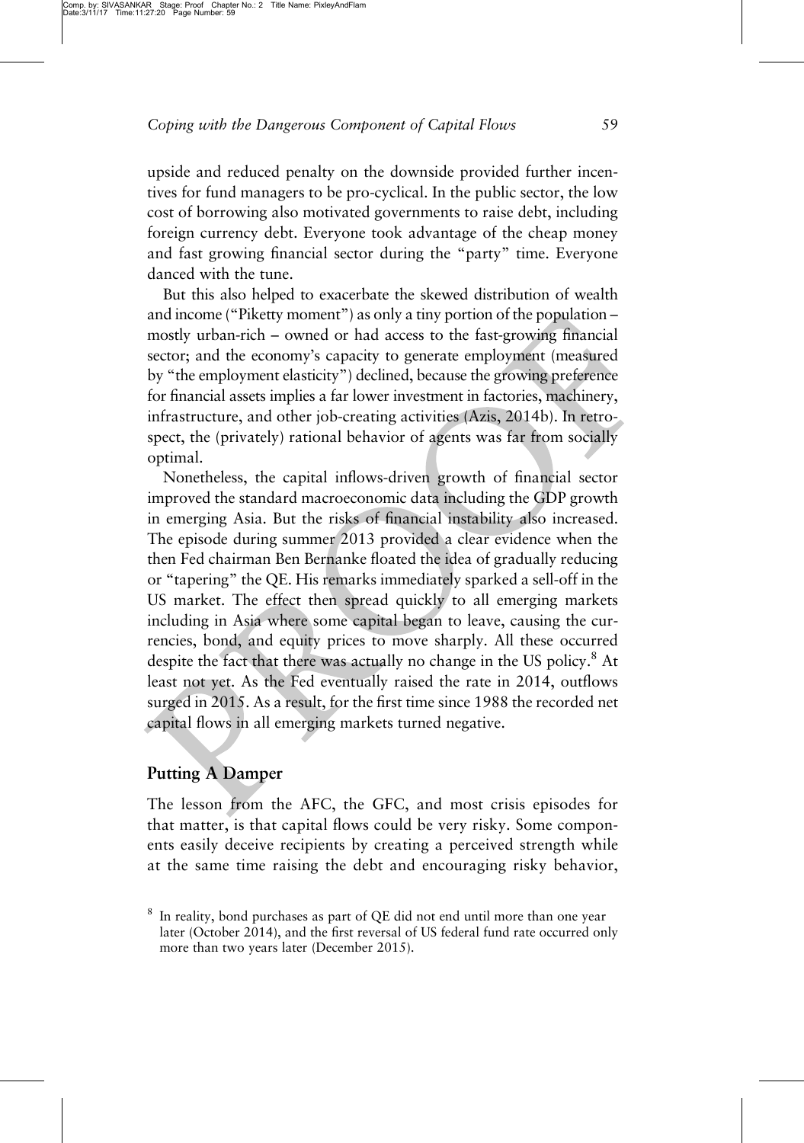upside and reduced penalty on the downside provided further incentives for fund managers to be pro-cyclical. In the public sector, the low cost of borrowing also motivated governments to raise debt, including foreign currency debt. Everyone took advantage of the cheap money and fast growing financial sector during the "party" time. Everyone danced with the tune.

But this also helped to exacerbate the skewed distribution of wealth and income ("Piketty moment") as only a tiny portion of the population – mostly urban-rich – owned or had access to the fast-growing financial sector; and the economy's capacity to generate employment (measured by "the employment elasticity") declined, because the growing preference for financial assets implies a far lower investment in factories, machinery, infrastructure, and other job-creating activities (Azis, 2014b). In retrospect, the (privately) rational behavior of agents was far from socially optimal.

Nonetheless, the capital inflows-driven growth of financial sector improved the standard macroeconomic data including the GDP growth in emerging Asia. But the risks of financial instability also increased. The episode during summer 2013 provided a clear evidence when the then Fed chairman Ben Bernanke floated the idea of gradually reducing or "tapering" the QE. His remarks immediately sparked a sell-off in the US market. The effect then spread quickly to all emerging markets including in Asia where some capital began to leave, causing the currencies, bond, and equity prices to move sharply. All these occurred despite the fact that there was actually no change in the US policy.<sup>8</sup> At least not yet. As the Fed eventually raised the rate in 2014, outflows surged in 2015. As a result, for the first time since 1988 the recorded net capital flows in all emerging markets turned negative.

### Putting A Damper

The lesson from the AFC, the GFC, and most crisis episodes for that matter, is that capital flows could be very risky. Some components easily deceive recipients by creating a perceived strength while at the same time raising the debt and encouraging risky behavior,

<sup>8</sup> In reality, bond purchases as part of QE did not end until more than one year later (October 2014), and the first reversal of US federal fund rate occurred only more than two years later (December 2015).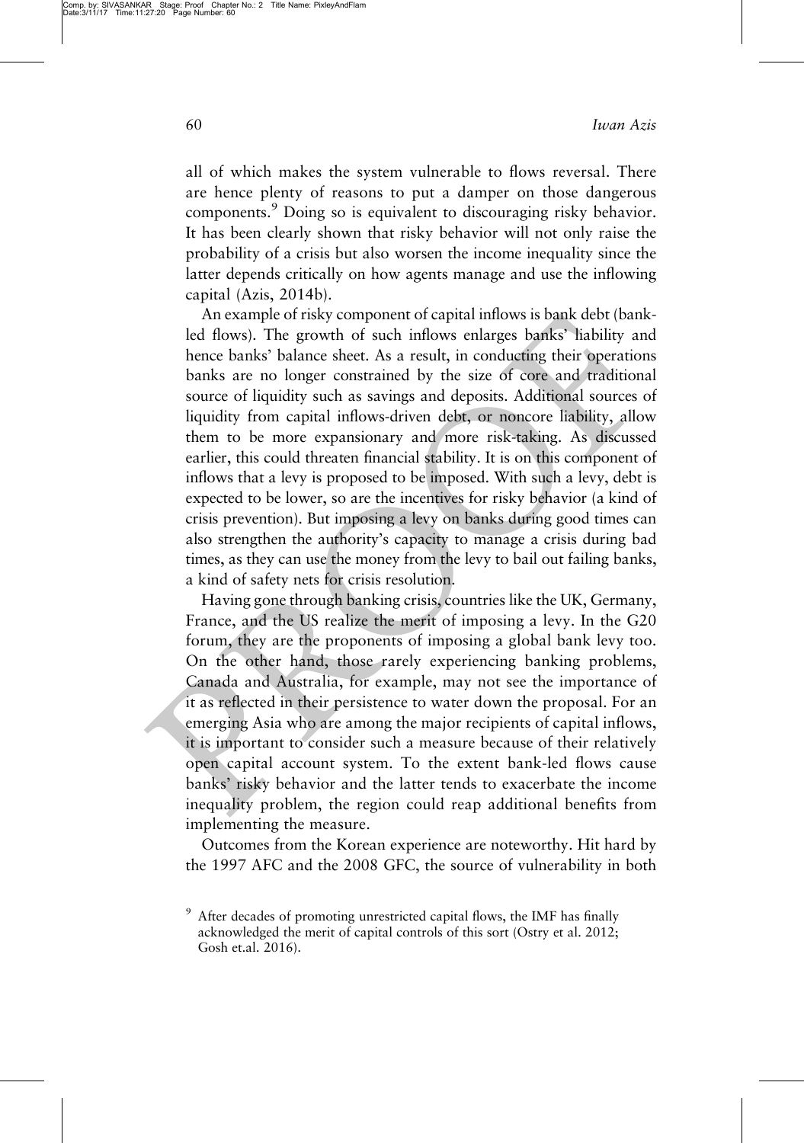all of which makes the system vulnerable to flows reversal. There are hence plenty of reasons to put a damper on those dangerous components.<sup>9</sup> Doing so is equivalent to discouraging risky behavior. It has been clearly shown that risky behavior will not only raise the probability of a crisis but also worsen the income inequality since the latter depends critically on how agents manage and use the inflowing capital (Azis, 2014b).

An example of risky component of capital inflows is bank debt (bankled flows). The growth of such inflows enlarges banks' liability and hence banks' balance sheet. As a result, in conducting their operations banks are no longer constrained by the size of core and traditional source of liquidity such as savings and deposits. Additional sources of liquidity from capital inflows-driven debt, or noncore liability, allow them to be more expansionary and more risk-taking. As discussed earlier, this could threaten financial stability. It is on this component of inflows that a levy is proposed to be imposed. With such a levy, debt is expected to be lower, so are the incentives for risky behavior (a kind of crisis prevention). But imposing a levy on banks during good times can also strengthen the authority's capacity to manage a crisis during bad times, as they can use the money from the levy to bail out failing banks, a kind of safety nets for crisis resolution.

Having gone through banking crisis, countries like the UK, Germany, France, and the US realize the merit of imposing a levy. In the G20 forum, they are the proponents of imposing a global bank levy too. On the other hand, those rarely experiencing banking problems, Canada and Australia, for example, may not see the importance of it as reflected in their persistence to water down the proposal. For an emerging Asia who are among the major recipients of capital inflows, it is important to consider such a measure because of their relatively open capital account system. To the extent bank-led flows cause banks' risky behavior and the latter tends to exacerbate the income inequality problem, the region could reap additional benefits from implementing the measure.

Outcomes from the Korean experience are noteworthy. Hit hard by the 1997 AFC and the 2008 GFC, the source of vulnerability in both

<sup>&</sup>lt;sup>9</sup> After decades of promoting unrestricted capital flows, the IMF has finally acknowledged the merit of capital controls of this sort (Ostry et al. 2012; Gosh et.al. 2016).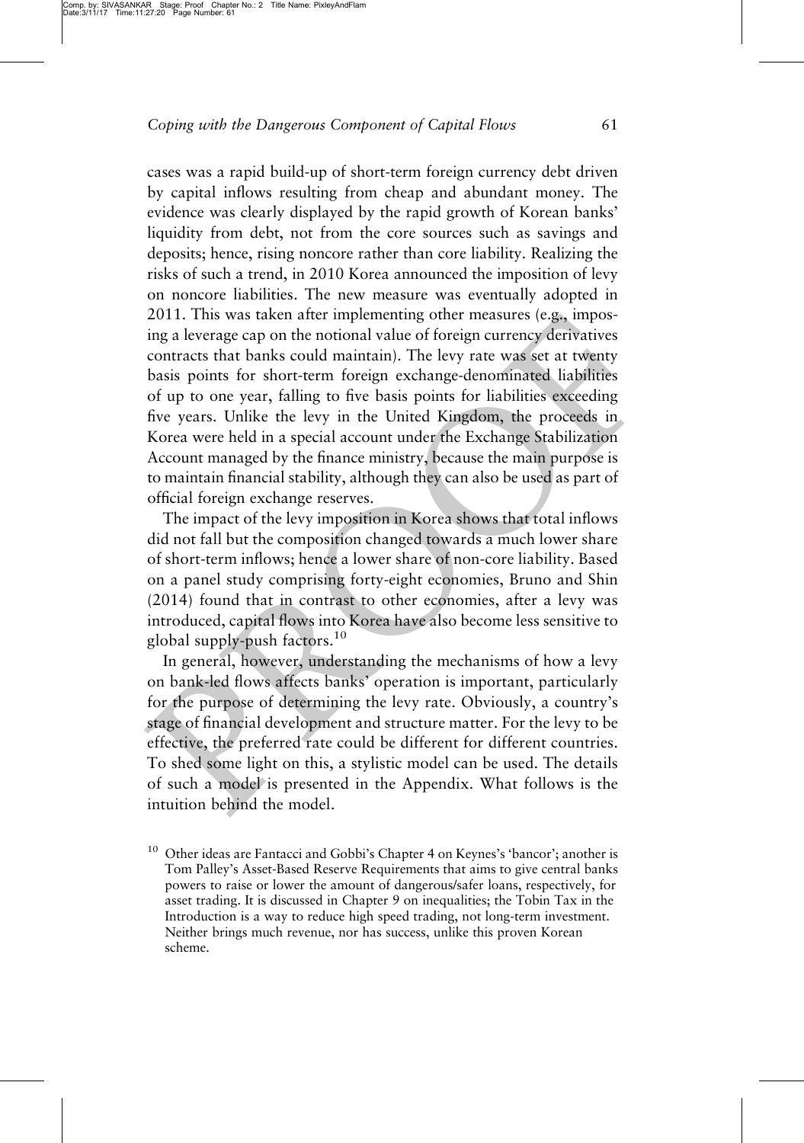cases was a rapid build-up of short-term foreign currency debt driven by capital inflows resulting from cheap and abundant money. The evidence was clearly displayed by the rapid growth of Korean banks' liquidity from debt, not from the core sources such as savings and deposits; hence, rising noncore rather than core liability. Realizing the risks of such a trend, in 2010 Korea announced the imposition of levy on noncore liabilities. The new measure was eventually adopted in 2011. This was taken after implementing other measures (e.g., imposing a leverage cap on the notional value of foreign currency derivatives contracts that banks could maintain). The levy rate was set at twenty basis points for short-term foreign exchange-denominated liabilities of up to one year, falling to five basis points for liabilities exceeding five years. Unlike the levy in the United Kingdom, the proceeds in Korea were held in a special account under the Exchange Stabilization Account managed by the finance ministry, because the main purpose is to maintain financial stability, although they can also be used as part of official foreign exchange reserves.

The impact of the levy imposition in Korea shows that total inflows did not fall but the composition changed towards a much lower share of short-term inflows; hence a lower share of non-core liability. Based on a panel study comprising forty-eight economies, Bruno and Shin (2014) found that in contrast to other economies, after a levy was introduced, capital flows into Korea have also become less sensitive to global supply-push factors.<sup>10</sup>

In general, however, understanding the mechanisms of how a levy on bank-led flows affects banks' operation is important, particularly for the purpose of determining the levy rate. Obviously, a country's stage of financial development and structure matter. For the levy to be effective, the preferred rate could be different for different countries. To shed some light on this, a stylistic model can be used. The details of such a model is presented in the Appendix. What follows is the intuition behind the model.

<sup>10</sup> Other ideas are Fantacci and Gobbi's Chapter 4 on Keynes's 'bancor'; another is Tom Palley's Asset-Based Reserve Requirements that aims to give central banks powers to raise or lower the amount of dangerous/safer loans, respectively, for asset trading. It is discussed in Chapter 9 on inequalities; the Tobin Tax in the Introduction is a way to reduce high speed trading, not long-term investment. Neither brings much revenue, nor has success, unlike this proven Korean scheme.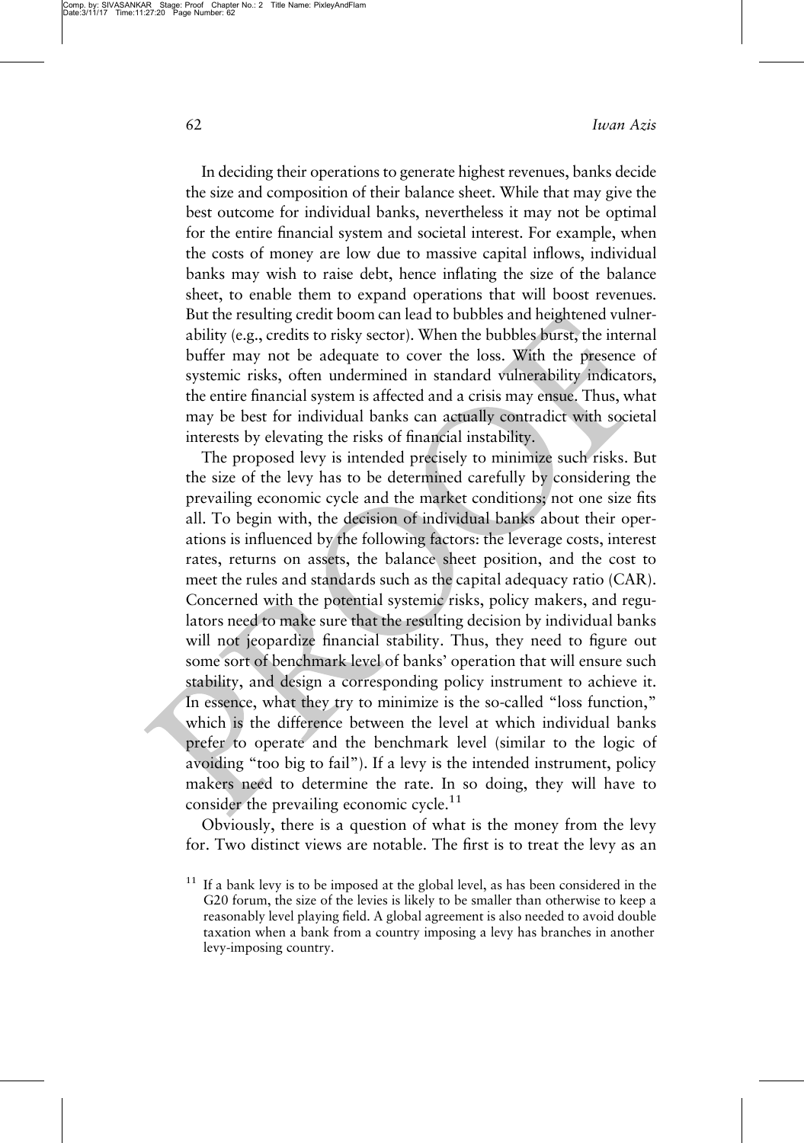62 Iwan Azis

In deciding their operations to generate highest revenues, banks decide the size and composition of their balance sheet. While that may give the best outcome for individual banks, nevertheless it may not be optimal for the entire financial system and societal interest. For example, when the costs of money are low due to massive capital inflows, individual banks may wish to raise debt, hence inflating the size of the balance sheet, to enable them to expand operations that will boost revenues. But the resulting credit boom can lead to bubbles and heightened vulnerability (e.g., credits to risky sector). When the bubbles burst, the internal buffer may not be adequate to cover the loss. With the presence of systemic risks, often undermined in standard vulnerability indicators, the entire financial system is affected and a crisis may ensue. Thus, what may be best for individual banks can actually contradict with societal interests by elevating the risks of financial instability.

The proposed levy is intended precisely to minimize such risks. But the size of the levy has to be determined carefully by considering the prevailing economic cycle and the market conditions; not one size fits all. To begin with, the decision of individual banks about their operations is influenced by the following factors: the leverage costs, interest rates, returns on assets, the balance sheet position, and the cost to meet the rules and standards such as the capital adequacy ratio (CAR). Concerned with the potential systemic risks, policy makers, and regulators need to make sure that the resulting decision by individual banks will not jeopardize financial stability. Thus, they need to figure out some sort of benchmark level of banks' operation that will ensure such stability, and design a corresponding policy instrument to achieve it. In essence, what they try to minimize is the so-called "loss function," which is the difference between the level at which individual banks prefer to operate and the benchmark level (similar to the logic of avoiding "too big to fail"). If a levy is the intended instrument, policy makers need to determine the rate. In so doing, they will have to consider the prevailing economic cycle.<sup>11</sup>

Obviously, there is a question of what is the money from the levy for. Two distinct views are notable. The first is to treat the levy as an

<sup>11</sup> If a bank levy is to be imposed at the global level, as has been considered in the G20 forum, the size of the levies is likely to be smaller than otherwise to keep a reasonably level playing field. A global agreement is also needed to avoid double taxation when a bank from a country imposing a levy has branches in another levy-imposing country.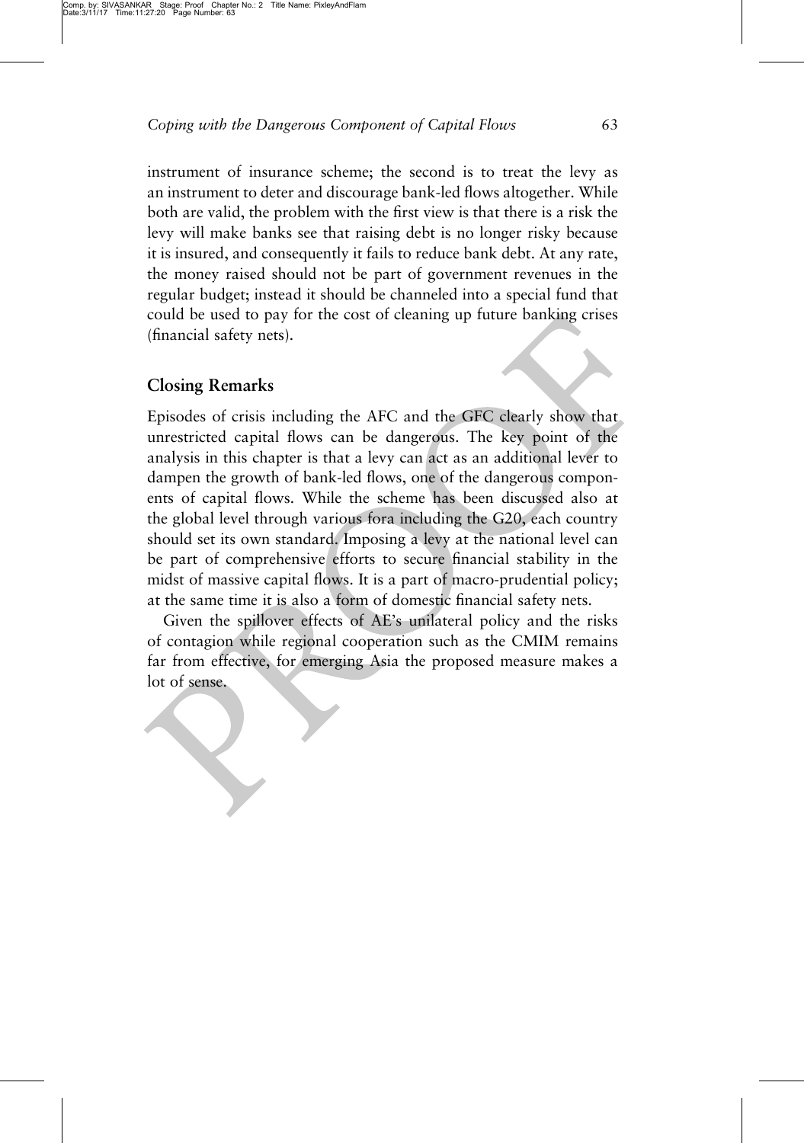instrument of insurance scheme; the second is to treat the levy as an instrument to deter and discourage bank-led flows altogether. While both are valid, the problem with the first view is that there is a risk the levy will make banks see that raising debt is no longer risky because it is insured, and consequently it fails to reduce bank debt. At any rate, the money raised should not be part of government revenues in the regular budget; instead it should be channeled into a special fund that could be used to pay for the cost of cleaning up future banking crises (financial safety nets).

## Closing Remarks

Episodes of crisis including the AFC and the GFC clearly show that unrestricted capital flows can be dangerous. The key point of the analysis in this chapter is that a levy can act as an additional lever to dampen the growth of bank-led flows, one of the dangerous components of capital flows. While the scheme has been discussed also at the global level through various fora including the G20, each country should set its own standard. Imposing a levy at the national level can be part of comprehensive efforts to secure financial stability in the midst of massive capital flows. It is a part of macro-prudential policy; at the same time it is also a form of domestic financial safety nets.

Given the spillover effects of AE's unilateral policy and the risks of contagion while regional cooperation such as the CMIM remains far from effective, for emerging Asia the proposed measure makes a lot of sense.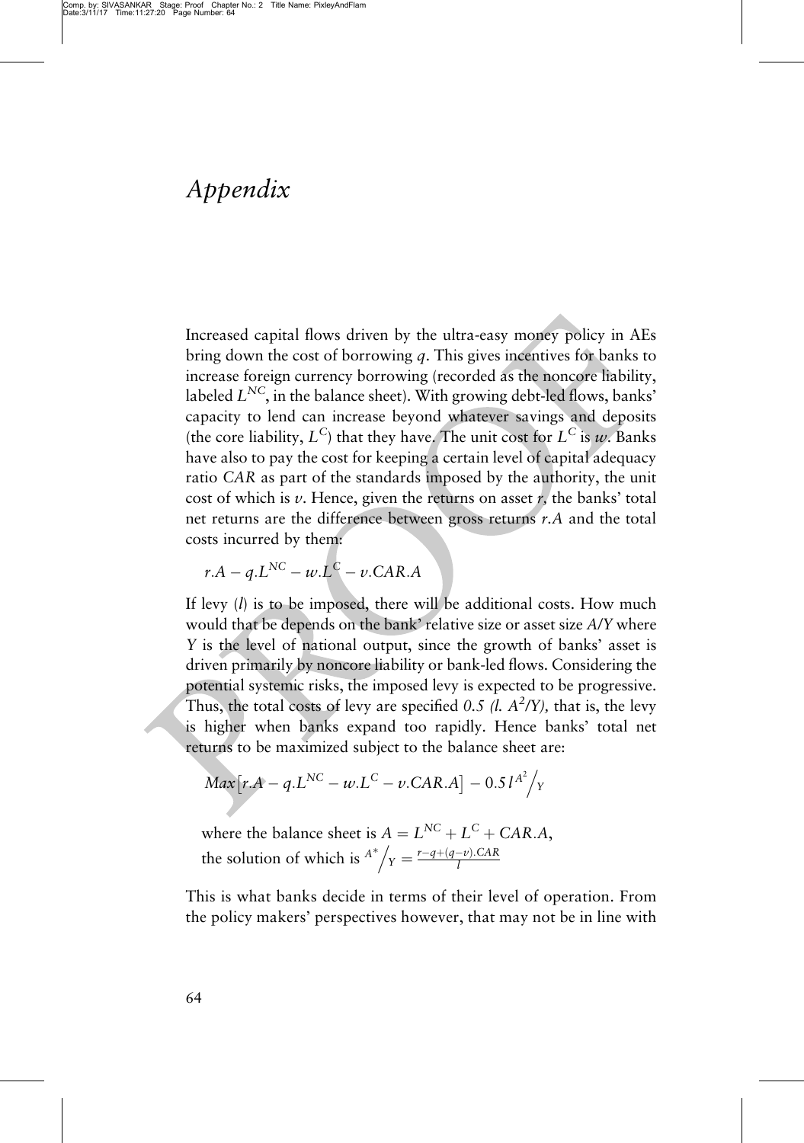### Appendix

Increased capital flows driven by the ultra-easy money policy in AEs bring down the cost of borrowing  $q$ . This gives incentives for banks to increase foreign currency borrowing (recorded as the noncore liability, labeled  $L^{NC}$ , in the balance sheet). With growing debt-led flows, banks' capacity to lend can increase beyond whatever savings and deposits (the core liability,  $L^C$ ) that they have. The unit cost for  $L^C$  is w. Banks have also to pay the cost for keeping a certain level of capital adequacy ratio CAR as part of the standards imposed by the authority, the unit cost of which is  $v$ . Hence, given the returns on asset  $r$ , the banks' total net returns are the difference between gross returns r.A and the total costs incurred by them:

$$
r.A - q.L^{NC} - w.L^C - v.CAR.A
$$

If levy  $(l)$  is to be imposed, there will be additional costs. How much would that be depends on the bank' relative size or asset size A/Y where Y is the level of national output, since the growth of banks' asset is driven primarily by noncore liability or bank-led flows. Considering the potential systemic risks, the imposed levy is expected to be progressive. Thus, the total costs of levy are specified 0.5 (l.  $A^2/Y$ ), that is, the levy is higher when banks expand too rapidly. Hence banks' total net returns to be maximized subject to the balance sheet are:

$$
Max[r.A - q.LNC - w.LC - v.CAR.A] - 0.5lA2/y
$$

where the balance sheet is  $A = L^{NC} + L^C + CAR.A$ , the solution of which is  $A^*/_Y = \frac{r-q+(q-v).CAR}{l}$ 

This is what banks decide in terms of their level of operation. From the policy makers' perspectives however, that may not be in line with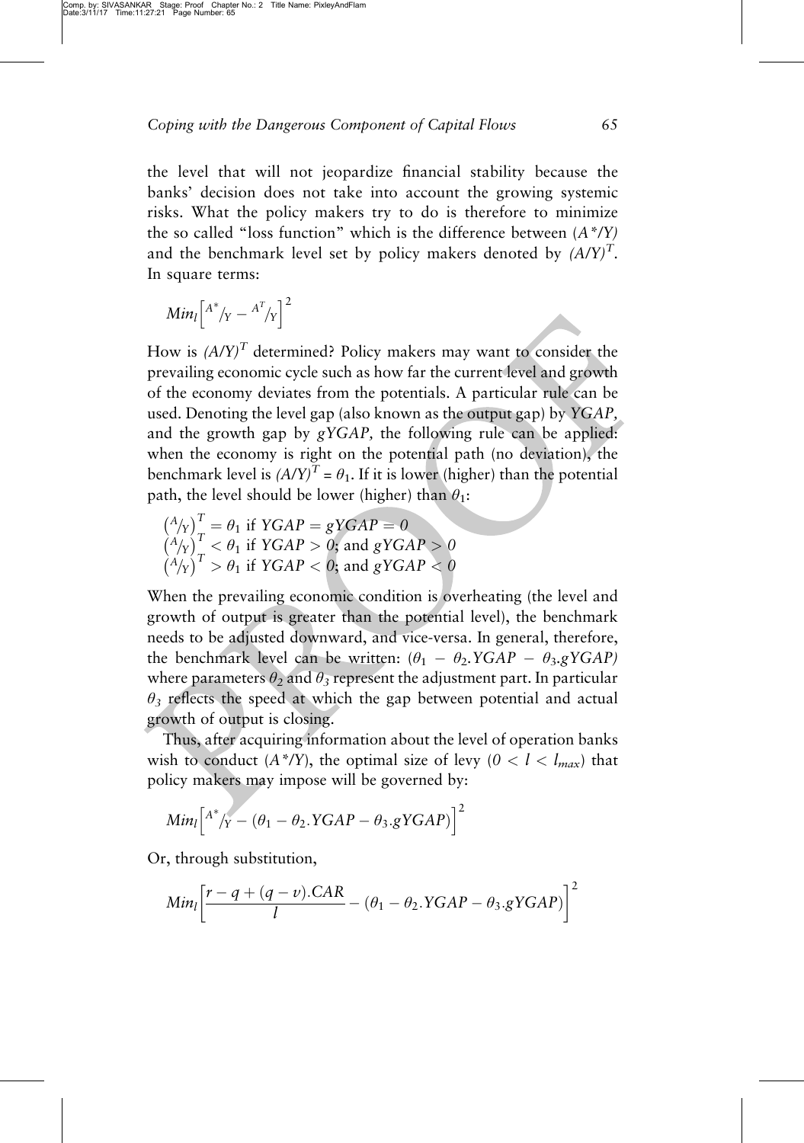the level that will not jeopardize financial stability because the banks' decision does not take into account the growing systemic risks. What the policy makers try to do is therefore to minimize the so called "loss function" which is the difference between  $(A^*$ /Y) and the benchmark level set by policy makers denoted by  $(A/Y)^T$ . In square terms:

$$
Min_l\left[ \begin{matrix} A^* & B^T / Y \end{matrix} \right]^2
$$

How is  $(A/Y)^T$  determined? Policy makers may want to consider the prevailing economic cycle such as how far the current level and growth of the economy deviates from the potentials. A particular rule can be used. Denoting the level gap (also known as the output gap) by YGAP, and the growth gap by gYGAP, the following rule can be applied: when the economy is right on the potential path (no deviation), the benchmark level is  $(A/Y)^{T} = \theta_1$ . If it is lower (higher) than the potential path, the level should be lower (higher) than  $\theta_1$ :

$$
\begin{aligned}\n\binom{A}{Y}^T &= \theta_1 \text{ if } YGAP = gYGAP = 0 \\
\binom{A}{Y}^T &< \theta_1 \text{ if } YGAP > 0; \text{ and } gYGAP > 0 \\
\binom{A}{Y}^T &> \theta_1 \text{ if } YGAP < 0; \text{ and } gYGAP < 0\n\end{aligned}
$$

When the prevailing economic condition is overheating (the level and growth of output is greater than the potential level), the benchmark needs to be adjusted downward, and vice-versa. In general, therefore, the benchmark level can be written:  $(\theta_1 - \theta_2, YGAP - \theta_3, gYGAP)$ where parameters  $\theta_2$  and  $\theta_3$  represent the adjustment part. In particular  $\theta_3$  reflects the speed at which the gap between potential and actual growth of output is closing.

Thus, after acquiring information about the level of operation banks wish to conduct  $(A^*Y)$ , the optimal size of levy  $(0 < l < l_{max})$  that policy makers may impose will be governed by:

$$
Min_l [{}^{A^*}/Y - (\theta_1 - \theta_2.YGAP - \theta_3.gYGAP)]^2
$$

Or, through substitution,

$$
Min_l\left[\frac{r-q+(q-\nu).CAR}{l}-(\theta_1-\theta_2.YGAP-\theta_3.gYGAP)\right]^2
$$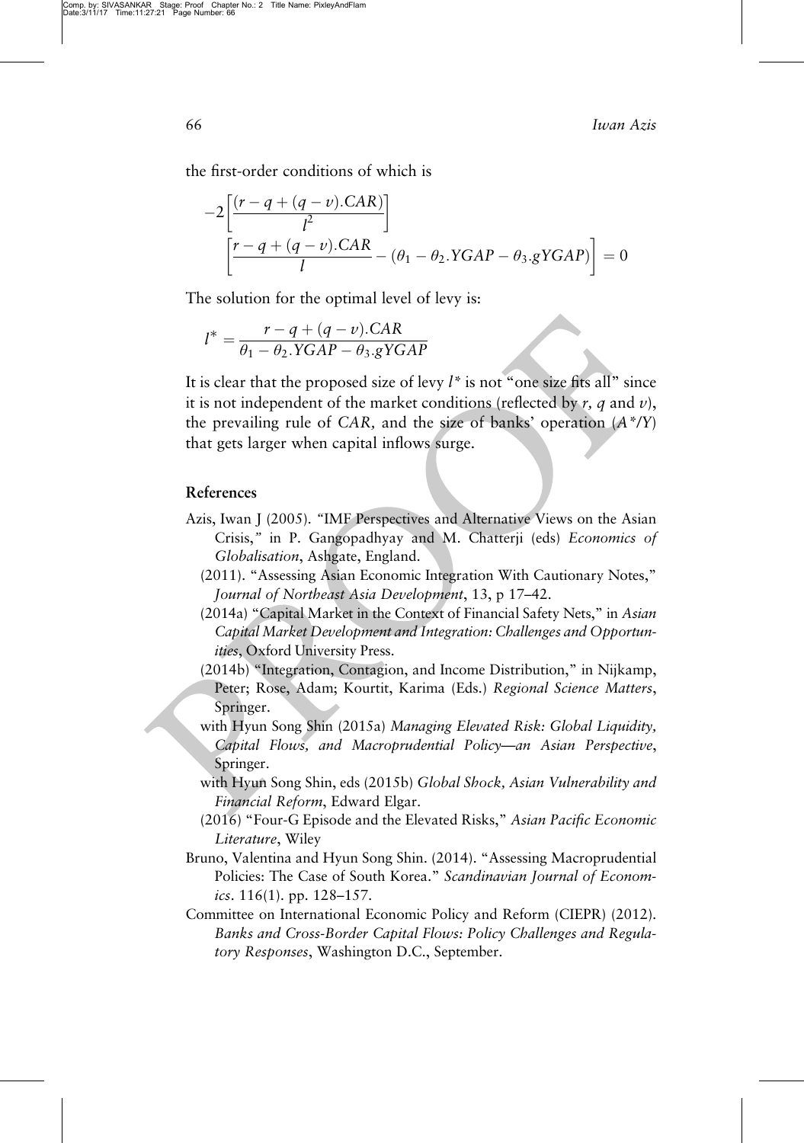66 Iwan Azis

the first-order conditions of which is

$$
-2\left[\frac{(r-q+(q-v).CAR)}{l^2}\right]
$$

$$
\left[\frac{r-q+(q-v).CAR}{l} - (\theta_1 - \theta_2.YGAP - \theta_3.gYGAP)\right] = 0
$$

The solution for the optimal level of levy is:

$$
l^* = \frac{r - q + (q - v).CAR}{\theta_1 - \theta_2. YGAP - \theta_3. gYGAP}
$$

It is clear that the proposed size of levy  $l^*$  is not "one size fits all" since it is not independent of the market conditions (reflected by  $r$ , q and  $v$ ), the prevailing rule of CAR, and the size of banks' operation  $(A^*$ /Y) that gets larger when capital inflows surge.

- Azis, Iwan J (2005). "IMF Perspectives and Alternative Views on the Asian Crisis," in P. Gangopadhyay and M. Chatterji (eds) Economics of Globalisation, Ashgate, England.
	- (2011). "Assessing Asian Economic Integration With Cautionary Notes," Journal of Northeast Asia Development, 13, p 17–42.
	- (2014a) "Capital Market in the Context of Financial Safety Nets," in Asian Capital Market Development and Integration: Challenges and Opportunities, Oxford University Press.
	- (2014b) "Integration, Contagion, and Income Distribution," in Nijkamp, Peter; Rose, Adam; Kourtit, Karima (Eds.) Regional Science Matters, Springer.
	- with Hyun Song Shin (2015a) Managing Elevated Risk: Global Liquidity, Capital Flows, and Macroprudential Policy—an Asian Perspective, Springer.
	- with Hyun Song Shin, eds (2015b) Global Shock, Asian Vulnerability and Financial Reform, Edward Elgar.
	- (2016) "Four-G Episode and the Elevated Risks," Asian Pacific Economic Literature, Wiley
- Bruno, Valentina and Hyun Song Shin. (2014). "Assessing Macroprudential Policies: The Case of South Korea." Scandinavian Journal of Economics.  $116(1)$ . pp.  $128-157$ .
- Committee on International Economic Policy and Reform (CIEPR) (2012). Banks and Cross-Border Capital Flows: Policy Challenges and Regulatory Responses, Washington D.C., September.